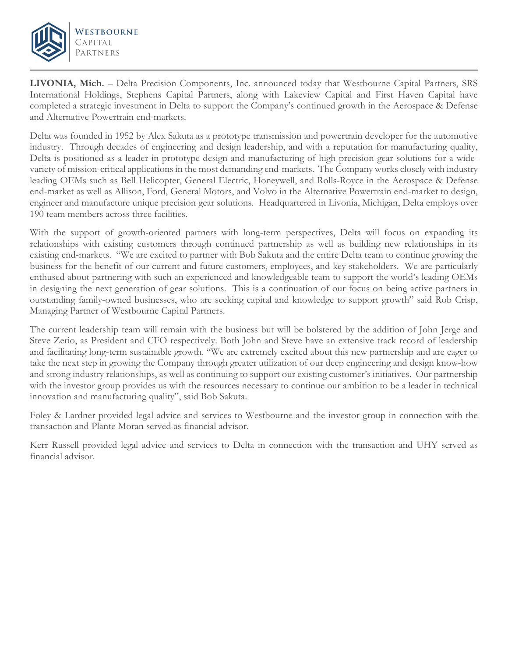

j

**LIVONIA, Mich.** – Delta Precision Components, Inc. announced today that Westbourne Capital Partners, SRS International Holdings, Stephens Capital Partners, along with Lakeview Capital and First Haven Capital have completed a strategic investment in Delta to support the Company's continued growth in the Aerospace & Defense and Alternative Powertrain end-markets.

Delta was founded in 1952 by Alex Sakuta as a prototype transmission and powertrain developer for the automotive industry. Through decades of engineering and design leadership, and with a reputation for manufacturing quality, Delta is positioned as a leader in prototype design and manufacturing of high-precision gear solutions for a widevariety of mission-critical applications in the most demanding end-markets. The Company works closely with industry leading OEMs such as Bell Helicopter, General Electric, Honeywell, and Rolls-Royce in the Aerospace & Defense end-market as well as Allison, Ford, General Motors, and Volvo in the Alternative Powertrain end-market to design, engineer and manufacture unique precision gear solutions. Headquartered in Livonia, Michigan, Delta employs over 190 team members across three facilities.

With the support of growth-oriented partners with long-term perspectives, Delta will focus on expanding its relationships with existing customers through continued partnership as well as building new relationships in its existing end-markets. "We are excited to partner with Bob Sakuta and the entire Delta team to continue growing the business for the benefit of our current and future customers, employees, and key stakeholders. We are particularly enthused about partnering with such an experienced and knowledgeable team to support the world's leading OEMs in designing the next generation of gear solutions. This is a continuation of our focus on being active partners in outstanding family-owned businesses, who are seeking capital and knowledge to support growth" said Rob Crisp, Managing Partner of Westbourne Capital Partners.

The current leadership team will remain with the business but will be bolstered by the addition of John Jerge and Steve Zerio, as President and CFO respectively. Both John and Steve have an extensive track record of leadership and facilitating long-term sustainable growth. "We are extremely excited about this new partnership and are eager to take the next step in growing the Company through greater utilization of our deep engineering and design know-how and strong industry relationships, as well as continuing to support our existing customer's initiatives. Our partnership with the investor group provides us with the resources necessary to continue our ambition to be a leader in technical innovation and manufacturing quality", said Bob Sakuta.

Foley & Lardner provided legal advice and services to Westbourne and the investor group in connection with the transaction and Plante Moran served as financial advisor.

Kerr Russell provided legal advice and services to Delta in connection with the transaction and UHY served as financial advisor.